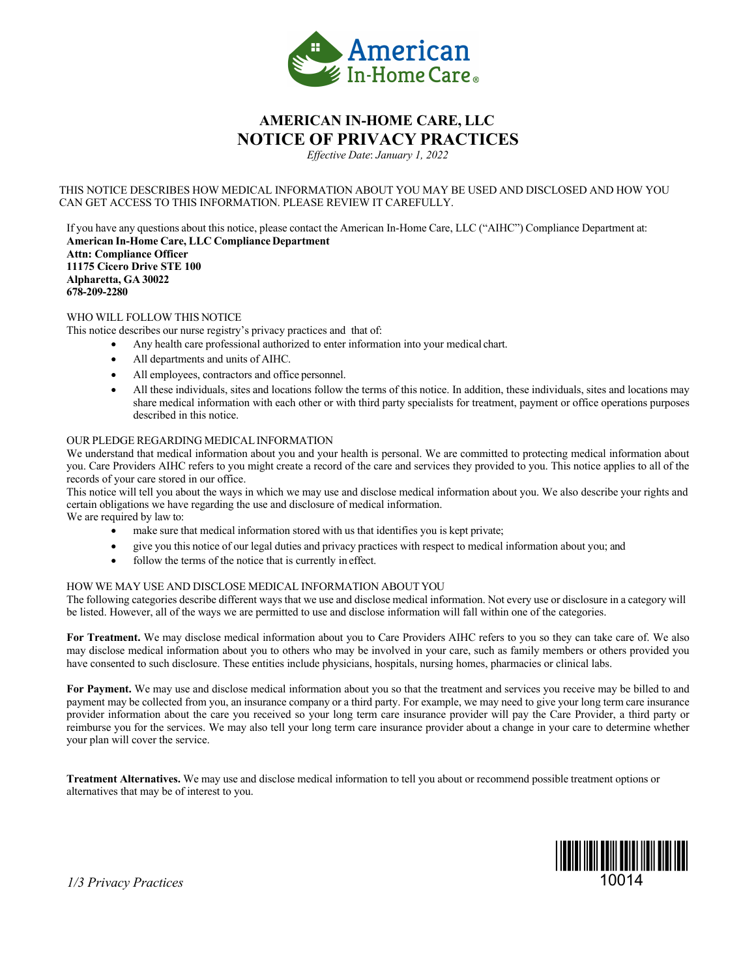

# **AMERICAN IN-HOME CARE, LLC NOTICE OF PRIVACY PRACTICES**

*Effective Date*: *January 1, 2022*

THIS NOTICE DESCRIBES HOW MEDICAL INFORMATION ABOUT YOU MAY BE USED AND DISCLOSED AND HOW YOU CAN GET ACCESS TO THIS INFORMATION. PLEASE REVIEW IT CAREFULLY.

If you have any questions about this notice, please contact the American In-Home Care, LLC ("AIHC") Compliance Department at: **American In-Home Care, LLC Compliance Department Attn: Compliance Officer 11175 Cicero Drive STE 100 Alpharetta, GA 30022 678-209-2280**

# WHO WILL FOLLOW THIS NOTICE

This notice describes our nurse registry's privacy practices and that of:

- Any health care professional authorized to enter information into your medical chart.
- All departments and units of AIHC.
- All employees, contractors and office personnel.
- All these individuals, sites and locations follow the terms of this notice. In addition, these individuals, sites and locations may share medical information with each other or with third party specialists for treatment, payment or office operations purposes described in this notice.

# OUR PLEDGE REGARDING MEDICALINFORMATION

We understand that medical information about you and your health is personal. We are committed to protecting medical information about you. Care Providers AIHC refers to you might create a record of the care and services they provided to you. This notice applies to all of the records of your care stored in our office.

This notice will tell you about the ways in which we may use and disclose medical information about you. We also describe your rights and certain obligations we have regarding the use and disclosure of medical information.

We are required by law to:

- make sure that medical information stored with us that identifies you is kept private;
- give you this notice of our legal duties and privacy practices with respect to medical information about you; and
- follow the terms of the notice that is currently in effect.

#### HOW WE MAY USE AND DISCLOSE MEDICAL INFORMATION ABOUTYOU

The following categories describe different ways that we use and disclose medical information. Not every use or disclosure in a category will be listed. However, all of the ways we are permitted to use and disclose information will fall within one of the categories.

**For Treatment.** We may disclose medical information about you to Care Providers AIHC refers to you so they can take care of. We also may disclose medical information about you to others who may be involved in your care, such as family members or others provided you have consented to such disclosure. These entities include physicians, hospitals, nursing homes, pharmacies or clinical labs.

**For Payment.** We may use and disclose medical information about you so that the treatment and services you receive may be billed to and payment may be collected from you, an insurance company or a third party. For example, we may need to give your long term care insurance provider information about the care you received so your long term care insurance provider will pay the Care Provider, a third party or reimburse you for the services. We may also tell your long term care insurance provider about a change in your care to determine whether your plan will cover the service.

**Treatment Alternatives.** We may use and disclose medical information to tell you about or recommend possible treatment options or alternatives that may be of interest to you.



*1/3 Privacy Practices*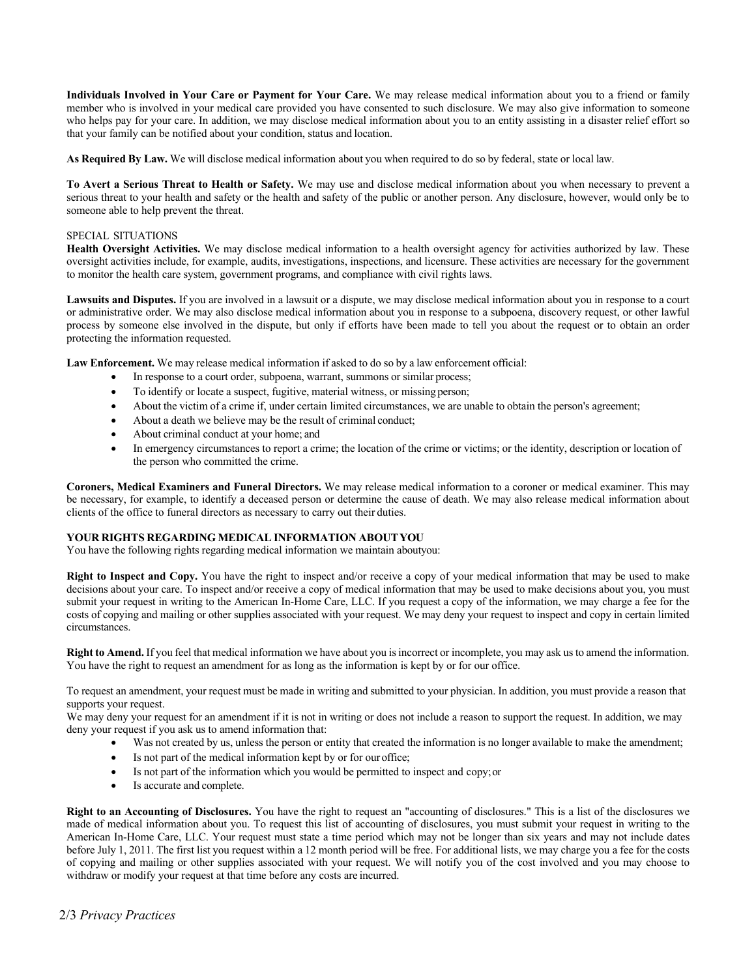**Individuals Involved in Your Care or Payment for Your Care.** We may release medical information about you to a friend or family member who is involved in your medical care provided you have consented to such disclosure. We may also give information to someone who helps pay for your care. In addition, we may disclose medical information about you to an entity assisting in a disaster relief effort so that your family can be notified about your condition, status and location.

**As Required By Law.** We will disclose medical information about you when required to do so by federal, state or local law.

**To Avert a Serious Threat to Health or Safety.** We may use and disclose medical information about you when necessary to prevent a serious threat to your health and safety or the health and safety of the public or another person. Any disclosure, however, would only be to someone able to help prevent the threat.

#### SPECIAL SITUATIONS

**Health Oversight Activities.** We may disclose medical information to a health oversight agency for activities authorized by law. These oversight activities include, for example, audits, investigations, inspections, and licensure. These activities are necessary for the government to monitor the health care system, government programs, and compliance with civil rights laws.

**Lawsuits and Disputes.** If you are involved in a lawsuit or a dispute, we may disclose medical information about you in response to a court or administrative order. We may also disclose medical information about you in response to a subpoena, discovery request, or other lawful process by someone else involved in the dispute, but only if efforts have been made to tell you about the request or to obtain an order protecting the information requested.

**Law Enforcement.** We may release medical information if asked to do so by a law enforcement official:

- In response to a court order, subpoena, warrant, summons or similar process;
- To identify or locate a suspect, fugitive, material witness, or missing person;
- About the victim of a crime if, under certain limited circumstances, we are unable to obtain the person's agreement;
- About a death we believe may be the result of criminal conduct;
- About criminal conduct at your home; and
- In emergency circumstances to report a crime; the location of the crime or victims; or the identity, description or location of the person who committed the crime.

**Coroners, Medical Examiners and Funeral Directors.** We may release medical information to a coroner or medical examiner. This may be necessary, for example, to identify a deceased person or determine the cause of death. We may also release medical information about clients of the office to funeral directors as necessary to carry out their duties.

# **YOUR RIGHTS REGARDING MEDICAL INFORMATION ABOUTYOU**

You have the following rights regarding medical information we maintain aboutyou:

**Right to Inspect and Copy.** You have the right to inspect and/or receive a copy of your medical information that may be used to make decisions about your care. To inspect and/or receive a copy of medical information that may be used to make decisions about you, you must submit your request in writing to the American In-Home Care, LLC. If you request a copy of the information, we may charge a fee for the costs of copying and mailing or other supplies associated with your request. We may deny your request to inspect and copy in certain limited circumstances.

**Right to Amend.** If you feel that medical information we have about you isincorrect or incomplete, you may ask usto amend the information. You have the right to request an amendment for as long as the information is kept by or for our office.

To request an amendment, your request must be made in writing and submitted to your physician. In addition, you must provide a reason that supports your request.

We may deny your request for an amendment if it is not in writing or does not include a reason to support the request. In addition, we may deny your request if you ask us to amend information that:

- Was not created by us, unless the person or entity that created the information is no longer available to make the amendment;
- Is not part of the medical information kept by or for our office;
- Is not part of the information which you would be permitted to inspect and copy;or
- Is accurate and complete.

**Right to an Accounting of Disclosures.** You have the right to request an "accounting of disclosures." This is a list of the disclosures we made of medical information about you. To request this list of accounting of disclosures, you must submit your request in writing to the American In-Home Care, LLC. Your request must state a time period which may not be longer than six years and may not include dates before July 1, 2011. The first list you request within a 12 month period will be free. For additional lists, we may charge you a fee for the costs of copying and mailing or other supplies associated with your request. We will notify you of the cost involved and you may choose to withdraw or modify your request at that time before any costs are incurred.